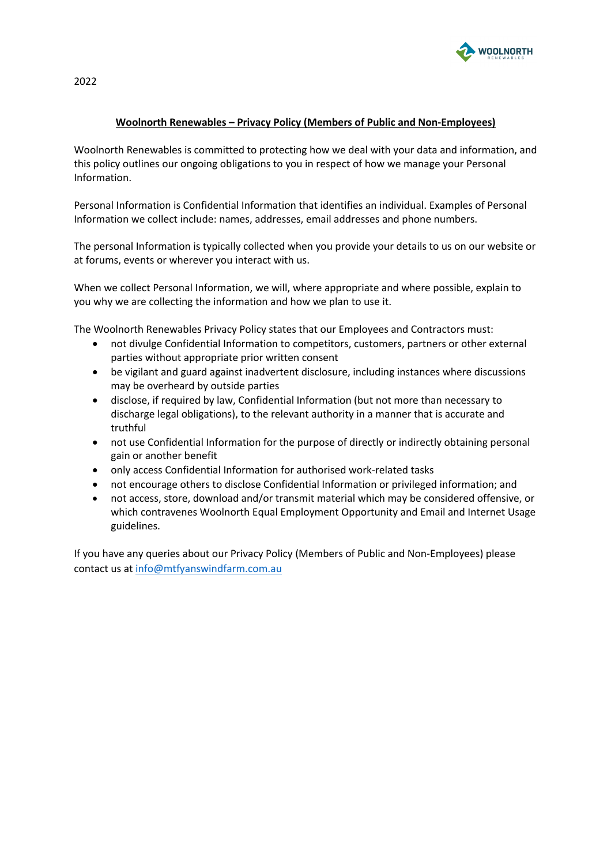

2022

## **Woolnorth Renewables – Privacy Policy (Members of Public and Non-Employees)**

Woolnorth Renewables is committed to protecting how we deal with your data and information, and this policy outlines our ongoing obligations to you in respect of how we manage your Personal Information.

Personal Information is Confidential Information that identifies an individual. Examples of Personal Information we collect include: names, addresses, email addresses and phone numbers.

The personal Information is typically collected when you provide your details to us on our website or at forums, events or wherever you interact with us.

When we collect Personal Information, we will, where appropriate and where possible, explain to you why we are collecting the information and how we plan to use it.

The Woolnorth Renewables Privacy Policy states that our Employees and Contractors must:

- not divulge Confidential Information to competitors, customers, partners or other external parties without appropriate prior written consent
- be vigilant and guard against inadvertent disclosure, including instances where discussions may be overheard by outside parties
- disclose, if required by law, Confidential Information (but not more than necessary to discharge legal obligations), to the relevant authority in a manner that is accurate and truthful
- not use Confidential Information for the purpose of directly or indirectly obtaining personal gain or another benefit
- only access Confidential Information for authorised work-related tasks
- not encourage others to disclose Confidential Information or privileged information; and
- not access, store, download and/or transmit material which may be considered offensive, or which contravenes Woolnorth Equal Employment Opportunity and Email and Internet Usage guidelines.

If you have any queries about our Privacy Policy (Members of Public and Non-Employees) please contact us at info@mtfyanswindfarm.com.au